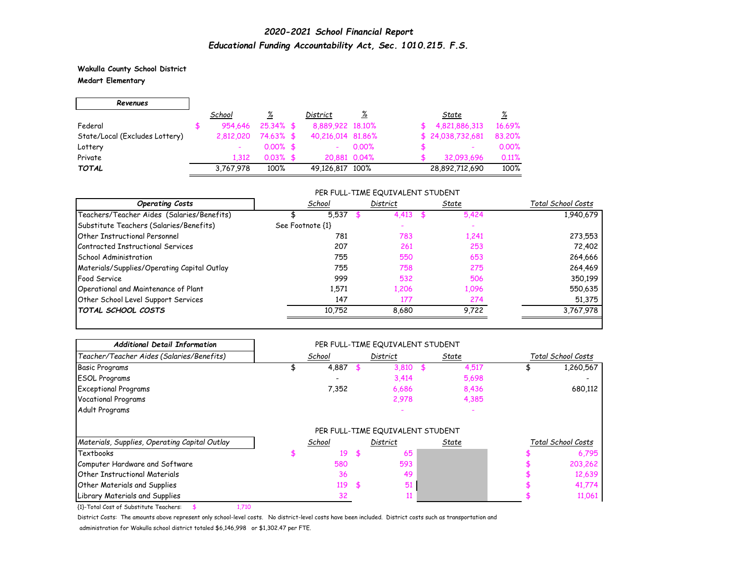**Wakulla County School District Medart Elementary**

| Revenues                       |           |              |                   |              |                          |          |
|--------------------------------|-----------|--------------|-------------------|--------------|--------------------------|----------|
|                                | School    | <u>%</u>     | District          | <u>%</u>     | State                    | <u>%</u> |
| Federal                        | 954.646   | $25.34\%$ \$ | 8,889,922 18,10%  |              | 4,821,886,313            | 16.69%   |
| State/Local (Excludes Lottery) | 2,812,020 | 74.63% \$    | 40,216,014 81,86% |              | \$24,038,732,681         | 83.20%   |
| Lottery                        |           | $0.00\%$ \$  |                   | $0.00\%$     | $\overline{\phantom{a}}$ | 0.00%    |
| Private                        | 1.312     | $0.03\%$ \$  |                   | 20,881 0.04% | 32,093,696               | 0.11%    |
| <b>TOTAL</b>                   | 3,767,978 | 100%         | 49,126,817 100%   |              | 28,892,712,690           | 100%     |

#### PER FULL-TIME EQUIVALENT STUDENT

| <b>Operating Costs</b>                      | School           | District | State | Total School Costs |
|---------------------------------------------|------------------|----------|-------|--------------------|
| Teachers/Teacher Aides (Salaries/Benefits)  | 5,537            | 4.413    | 5,424 | 1,940,679          |
| Substitute Teachers (Salaries/Benefits)     | See Footnote {1} |          |       |                    |
| <b>Other Instructional Personnel</b>        | 781              | 783      | 1,241 | 273,553            |
| Contracted Instructional Services           | 207              | 261      | 253   | 72,402             |
| School Administration                       | 755              | 550      | 653   | 264,666            |
| Materials/Supplies/Operating Capital Outlay | 755              | 758      | 275   | 264,469            |
| Food Service                                | 999              | 532      | 506   | 350,199            |
| Operational and Maintenance of Plant        | 1,571            | 1.206    | 1,096 | 550,635            |
| Other School Level Support Services         | 147              | 177      | 274   | 51,375             |
| <b>TOTAL SCHOOL COSTS</b>                   | 10,752           | 8,680    | 9.722 | 3,767,978          |

| <b>Additional Detail Information</b>            | PER FULL-TIME EQUIVALENT STUDENT |          |          |       |       |                    |                    |
|-------------------------------------------------|----------------------------------|----------|----------|-------|-------|--------------------|--------------------|
| Teacher/Teacher Aides (Salaries/Benefits)       | School                           | District |          | State |       | Total School Costs |                    |
| <b>Basic Programs</b>                           | 4,887                            |          | 3,810    |       | 4,517 |                    | 1,260,567          |
| <b>ESOL Programs</b>                            |                                  |          | 3,414    |       | 5,698 |                    |                    |
| <b>Exceptional Programs</b>                     | 7,352                            |          | 6,686    |       | 8,436 |                    | 680,112            |
| <b>Vocational Programs</b>                      |                                  |          | 2,978    |       | 4,385 |                    |                    |
| Adult Programs                                  |                                  |          |          |       |       |                    |                    |
|                                                 | PER FULL-TIME EQUIVALENT STUDENT |          |          |       |       |                    |                    |
| Materials, Supplies, Operating Capital Outlay   | School                           |          | District |       | State |                    | Total School Costs |
| <b>Textbooks</b>                                | 19                               | £.       | 65       |       |       |                    | 6,795              |
| Computer Hardware and Software                  | 580                              |          | 593      |       |       |                    | 203,262            |
| <b>Other Instructional Materials</b>            | 36                               |          | 49       |       |       |                    | 12,639             |
| Other Materials and Supplies                    | 119                              | -\$      | 51       |       |       |                    | 41,774             |
| Library Materials and Supplies                  | 32                               |          |          |       |       |                    | 11,061             |
| {1}-Total Cost of Substitute Teachers:<br>1,710 |                                  |          |          |       |       |                    |                    |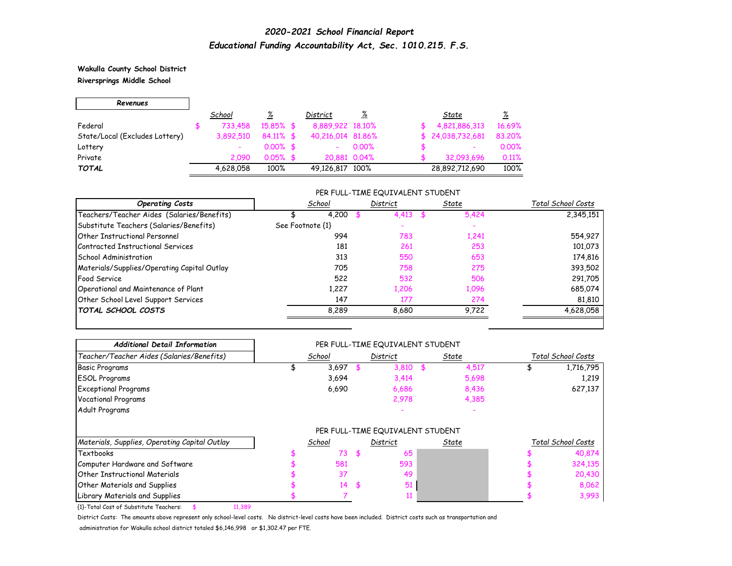**Wakulla County School District Riversprings Middle School**

ㄱ

| Revenues                       |           |              |                   |              |                  |          |
|--------------------------------|-----------|--------------|-------------------|--------------|------------------|----------|
|                                | School    | %            | District          | <u>%</u>     | State            | <u>%</u> |
| Federal                        | 733,458   | 15,85% \$    | 8,889,922 18,10%  |              | 4,821,886,313    | 16.69%   |
| State/Local (Excludes Lottery) | 3.892.510 | $84.11\%$ \$ | 40,216,014 81,86% |              | \$24,038,732,681 | 83,20%   |
| Lottery                        |           | $0.00\%$ \$  |                   | $0.00\%$     | ٠                | 0.00%    |
| Private                        | 2.090     | $0.05%$ \$   |                   | 20.881 0.04% | 32.093.696       | 0.11%    |
| <b>TOTAL</b>                   | 4,628,058 | 100%         | 49,126,817 100%   |              | 28,892,712,690   | 100%     |

#### PER FULL-TIME EQUIVALENT STUDENT

| <b>Operating Costs</b>                      | School           | District | State | Total School Costs |
|---------------------------------------------|------------------|----------|-------|--------------------|
| Teachers/Teacher Aides (Salaries/Benefits)  | 4,200            | 4,413    | 5,424 | 2,345,151          |
| Substitute Teachers (Salaries/Benefits)     | See Footnote {1} |          |       |                    |
| <b>Other Instructional Personnel</b>        | 994              | 783      | 1,241 | 554,927            |
| Contracted Instructional Services           | 181              | 261      | 253   | 101,073            |
| School Administration                       | 313              | 550      | 653   | 174,816            |
| Materials/Supplies/Operating Capital Outlay | 705              | 758      | 275   | 393,502            |
| Food Service                                | 522              | 532      | 506   | 291,705            |
| Operational and Maintenance of Plant        | 1.227            | 1.206    | 1,096 | 685,074            |
| Other School Level Support Services         | 147              | 177      | 274   | 81,810             |
| <b>TOTAL SCHOOL COSTS</b>                   | 8,289            | 8,680    | 9,722 | 4,628,058          |

| <b>Additional Detail Information</b>             | PER FULL-TIME EQUIVALENT STUDENT |          |       |              |                    |
|--------------------------------------------------|----------------------------------|----------|-------|--------------|--------------------|
| Teacher/Teacher Aides (Salaries/Benefits)        | School                           | District | State |              | Total School Costs |
| <b>Basic Programs</b>                            | 3,697                            | 3,810    |       | 4,517        | 1,716,795          |
| <b>ESOL Programs</b>                             | 3,694                            | 3,414    |       | 5,698        | 1,219              |
| <b>Exceptional Programs</b>                      | 6,690                            | 6,686    |       | 8,436        | 627,137            |
| <b>Vocational Programs</b>                       |                                  | 2,978    |       | 4,385        |                    |
| Adult Programs                                   |                                  |          |       |              |                    |
|                                                  | PER FULL-TIME EQUIVALENT STUDENT |          |       |              |                    |
| Materials, Supplies, Operating Capital Outlay    | School                           | District |       | <u>State</u> | Total School Costs |
| <b>Textbooks</b>                                 | 73                               | \$<br>65 |       |              | 40,874             |
| Computer Hardware and Software                   | 581                              | 593      |       |              | 324,135            |
| <b>Other Instructional Materials</b>             | 37                               | 49       |       |              | 20,430             |
| <b>Other Materials and Supplies</b>              | 14                               | \$<br>51 |       |              | 8,062              |
| Library Materials and Supplies                   |                                  |          |       |              | 3,993              |
| {1}-Total Cost of Substitute Teachers:<br>11,389 |                                  |          |       |              |                    |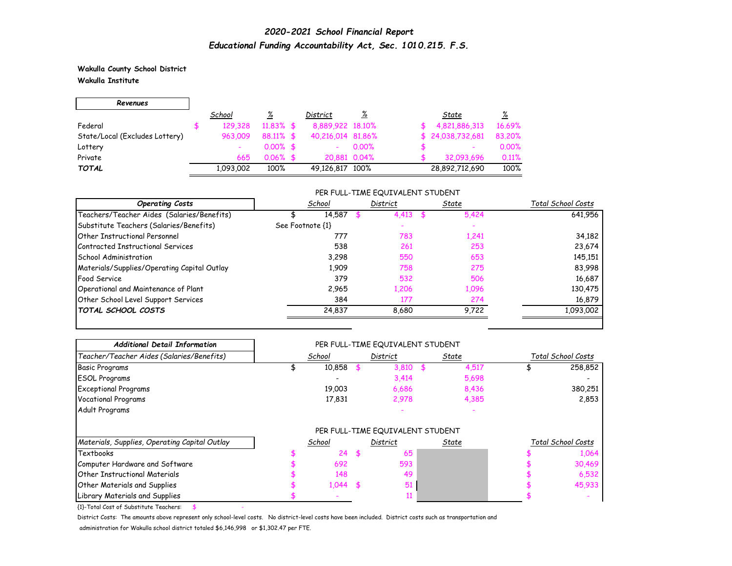**Wakulla County School District Wakulla Institute**

| Revenues                       |           |              |                   |              |                  |          |
|--------------------------------|-----------|--------------|-------------------|--------------|------------------|----------|
|                                | School    | <u>%</u>     | District          | <u>%</u>     | State            | <u>%</u> |
| Federal                        | 129,328   | $11.83\%$ \$ | 8,889,922 18,10%  |              | 4,821,886,313    | 16.69%   |
| State/Local (Excludes Lottery) | 963,009   | 88.11% \$    | 40,216,014 81,86% |              | \$24,038,732,681 | 83,20%   |
| Lottery                        |           | $0.00\%$ \$  |                   | $0.00\%$     | ۰                | 0.00%    |
| Private                        | 665       | $0.06\%$ \$  |                   | 20,881 0.04% | 32,093,696       | 0.11%    |
| <b>TOTAL</b>                   | 1,093,002 | 100%         | 49,126,817 100%   |              | 28,892,712,690   | 100%     |

#### PER FULL-TIME EQUIVALENT STUDENT

| <b>Operating Costs</b>                      | School           | District | State | Total School Costs |
|---------------------------------------------|------------------|----------|-------|--------------------|
| Teachers/Teacher Aides (Salaries/Benefits)  | 14,587           | 4.413    | 5,424 | 641,956            |
| Substitute Teachers (Salaries/Benefits)     | See Footnote {1} |          |       |                    |
| <b>Other Instructional Personnel</b>        | 777              | 783      | 1,241 | 34,182             |
| Contracted Instructional Services           | 538              | 261      | 253   | 23,674             |
| School Administration                       | 3.298            | 550      | 653   | 145,151            |
| Materials/Supplies/Operating Capital Outlay | 1,909            | 758      | 275   | 83,998             |
| Food Service                                | 379              | 532      | 506   | 16,687             |
| Operational and Maintenance of Plant        | 2.965            | 1,206    | 1,096 | 130,475            |
| Other School Level Support Services         | 384              | 177      | 274   | 16,879             |
| <b>TOTAL SCHOOL COSTS</b>                   | 24,837           | 8.680    | 9,722 | 1,093,002          |

| <b>Additional Detail Information</b>          |                                  |        |    | PER FULL-TIME EQUIVALENT STUDENT |       |       |                    |         |
|-----------------------------------------------|----------------------------------|--------|----|----------------------------------|-------|-------|--------------------|---------|
| Teacher/Teacher Aides (Salaries/Benefits)     | School                           |        |    | District                         | State |       | Total School Costs |         |
| <b>Basic Programs</b>                         |                                  | 10,858 |    | 3,810                            |       | 4,517 |                    | 258,852 |
| <b>ESOL Programs</b>                          |                                  |        |    | 3,414                            |       | 5,698 |                    |         |
| <b>Exceptional Programs</b>                   |                                  | 19,003 |    | 6,686                            |       | 8,436 |                    | 380,251 |
| <b>Vocational Programs</b>                    |                                  | 17,831 |    | 2,978                            |       | 4,385 |                    | 2,853   |
| Adult Programs                                |                                  |        |    |                                  |       |       |                    |         |
|                                               | PER FULL-TIME EQUIVALENT STUDENT |        |    |                                  |       |       |                    |         |
| Materials, Supplies, Operating Capital Outlay |                                  | School |    | District                         | State |       | Total School Costs |         |
| <b>Textbooks</b>                              |                                  | 24     | \$ | 65                               |       |       |                    | 1,064   |
| Computer Hardware and Software                |                                  | 692    |    | 593                              |       |       |                    | 30,469  |
| <b>Other Instructional Materials</b>          |                                  | 148    |    | 49                               |       |       |                    | 6,532   |
| Other Materials and Supplies                  |                                  | 1,044  |    | 51                               |       |       |                    | 45,933  |
| Library Materials and Supplies                |                                  |        |    |                                  |       |       |                    |         |

 $\overline{1}$ -Total Cost of Substitute Teachers: \$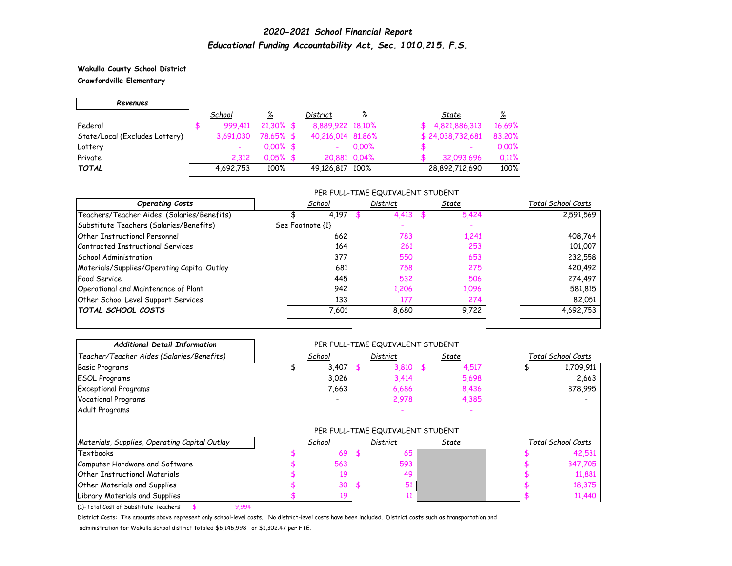### **Wakulla County School District Crawfordville Elementary**

| Revenues                       |           |              |                   |              |                          |          |
|--------------------------------|-----------|--------------|-------------------|--------------|--------------------------|----------|
|                                | School    | <u>%</u>     | District          | <u>%</u>     | State                    | <u>%</u> |
| Federal                        | 999.411   | $21.30\%$ \$ | 8,889,922 18,10%  |              | \$4,821,886,313          | 16.69%   |
| State/Local (Excludes Lottery) | 3,691,030 | 78.65% \$    | 40,216,014 81,86% |              | \$24,038,732,681         | 83,20%   |
| Lottery                        |           | $0.00\%$ \$  |                   | $0.00\%$     | $\overline{\phantom{a}}$ | 0.00%    |
| Private                        | 2.312     | $0.05\%$ \$  |                   | 20,881 0.04% | 32,093,696               | 0.11%    |
| <b>TOTAL</b>                   | 4,692,753 | 100%         | 49,126,817 100%   |              | 28,892,712,690           | 100%     |

#### PER FULL-TIME EQUIVALENT STUDENT

| <b>Operating Costs</b>                      | School           | District | State | Total School Costs |
|---------------------------------------------|------------------|----------|-------|--------------------|
| Teachers/Teacher Aides (Salaries/Benefits)  | 4,197            | 4.413    | 5,424 | 2,591,569          |
| Substitute Teachers (Salaries/Benefits)     | See Footnote {1} |          |       |                    |
| <b>Other Instructional Personnel</b>        | 662              | 783      | 1,241 | 408,764            |
| Contracted Instructional Services           | 164              | 261      | 253   | 101,007            |
| School Administration                       | 377              | 550      | 653   | 232,558            |
| Materials/Supplies/Operating Capital Outlay | 681              | 758      | 275   | 420,492            |
| Food Service                                | 445              | 532      | 506   | 274,497            |
| Operational and Maintenance of Plant        | 942              | 1.206    | 1,096 | 581,815            |
| Other School Level Support Services         | 133              | 177      | 274   | 82,051             |
| <b>TOTAL SCHOOL COSTS</b>                   | 7,601            | 8.680    | 9,722 | 4,692,753          |

| <b>Additional Detail Information</b>          |        |           | PER FULL-TIME EQUIVALENT STUDENT |       |       |                    |                    |
|-----------------------------------------------|--------|-----------|----------------------------------|-------|-------|--------------------|--------------------|
| Teacher/Teacher Aides (Salaries/Benefits)     | School |           | District                         | State |       | Total School Costs |                    |
| <b>Basic Programs</b>                         | 3,407  |           | 3,810                            |       | 4,517 |                    | 1,709,911          |
| <b>ESOL Programs</b>                          | 3,026  |           | 3,414                            |       | 5,698 |                    | 2,663              |
| <b>Exceptional Programs</b>                   | 7,663  |           | 6,686                            |       | 8,436 |                    | 878,995            |
| <b>Vocational Programs</b>                    |        |           | 2,978                            |       | 4,385 |                    |                    |
| Adult Programs                                |        |           |                                  |       |       |                    |                    |
|                                               |        |           | PER FULL-TIME EQUIVALENT STUDENT |       |       |                    |                    |
| Materials, Supplies, Operating Capital Outlay | School |           | District                         |       | State |                    | Total School Costs |
| <b>Textbooks</b>                              | 69     | <b>\$</b> | 65                               |       |       |                    | 42,531             |
| Computer Hardware and Software                | 563    |           | 593                              |       |       |                    | 347,705            |
| <b>Other Instructional Materials</b>          | 19     |           | 49                               |       |       |                    | 11,881             |
| <b>Other Materials and Supplies</b>           | 30     | \$.       | 51                               |       |       |                    | 18,375             |
| Library Materials and Supplies                |        |           |                                  |       |       |                    | 11,440             |

{1}-Total Cost of Substitute Teachers: \$ 9,994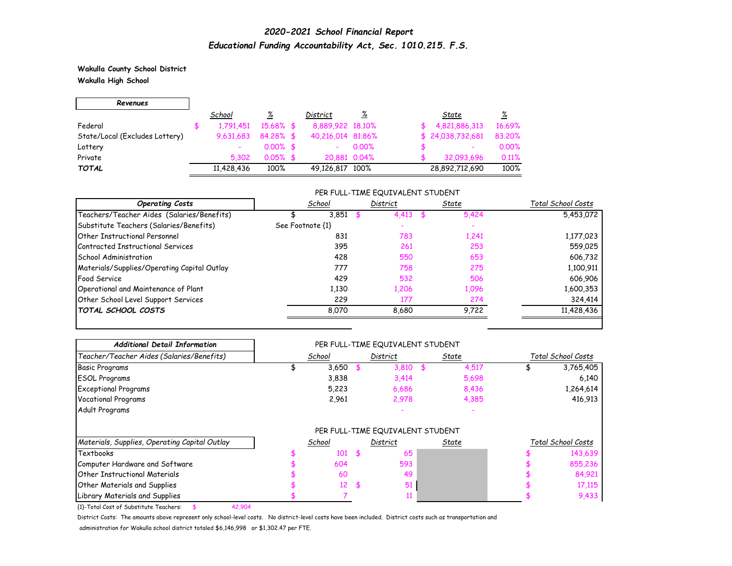**Wakulla County School District Wakulla High School**

| Revenues                       |            |              |                   |              |                          |          |
|--------------------------------|------------|--------------|-------------------|--------------|--------------------------|----------|
|                                | School     | <u>%</u>     | District          | <u>%</u>     | State                    | <u>%</u> |
| Federal                        | 1,791,451  | $15.68\%$ \$ | 8,889,922 18,10%  |              | 4,821,886,313            | 16.69%   |
| State/Local (Excludes Lottery) | 9,631,683  | $84.28\%$ \$ | 40,216,014 81,86% |              | \$24,038,732,681         | 83.20%   |
| Lottery                        |            | $0.00\%$ \$  |                   | $0.00\%$     | $\overline{\phantom{a}}$ | 0.00%    |
| Private                        | 5.302      | $0.05\%$ \$  |                   | 20,881 0.04% | 32,093,696               | 0.11%    |
| <b>TOTAL</b>                   | 11,428,436 | 100%         | 49,126,817 100%   |              | 28,892,712,690           | 100%     |

#### PER FULL-TIME EQUIVALENT STUDENT

| <b>Operating Costs</b>                      | School           | District | State | Total School Costs |
|---------------------------------------------|------------------|----------|-------|--------------------|
| Teachers/Teacher Aides (Salaries/Benefits)  | 3,851            | 4,413    | 5,424 | 5,453,072          |
| Substitute Teachers (Salaries/Benefits)     | See Footnote {1} |          |       |                    |
| <b>Other Instructional Personnel</b>        | 831              | 783      | 1,241 | 1,177,023          |
| Contracted Instructional Services           | 395              | 261      | 253   | 559,025            |
| School Administration                       | 428              | 550      | 653   | 606,732            |
| Materials/Supplies/Operating Capital Outlay | 777              | 758      | 275   | 1,100,911          |
| Food Service                                | 429              | 532      | 506   | 606,906            |
| Operational and Maintenance of Plant        | 1,130            | 1.206    | 1,096 | 1,600,353          |
| Other School Level Support Services         | 229              | 177      | 274   | 324,414            |
| <b>TOTAL SCHOOL COSTS</b>                   | 8.070            | 8.680    | 9,722 | 11,428,436         |

| <b>Additional Detail Information</b>             |                                  |        |  | PER FULL-TIME EQUIVALENT STUDENT |  |              |                    |                    |
|--------------------------------------------------|----------------------------------|--------|--|----------------------------------|--|--------------|--------------------|--------------------|
| Teacher/Teacher Aides (Salaries/Benefits)        |                                  | School |  | District                         |  | State        | Total School Costs |                    |
| <b>Basic Programs</b>                            |                                  | 3,650  |  | 3,810                            |  | 4,517        |                    | 3,765,405          |
| <b>ESOL Programs</b>                             |                                  | 3,838  |  | 3,414                            |  | 5,698        |                    | 6,140              |
| <b>Exceptional Programs</b>                      |                                  | 5,223  |  | 6,686                            |  | 8,436        |                    | 1,264,614          |
| <b>Vocational Programs</b>                       |                                  | 2,961  |  | 2,978                            |  | 4,385        |                    | 416,913            |
| Adult Programs                                   |                                  |        |  |                                  |  |              |                    |                    |
|                                                  | PER FULL-TIME EQUIVALENT STUDENT |        |  |                                  |  |              |                    |                    |
| Materials, Supplies, Operating Capital Outlay    |                                  | School |  | District                         |  | <u>State</u> |                    | Total School Costs |
| Textbooks                                        |                                  | 101    |  | 65                               |  |              |                    | 143,639            |
| Computer Hardware and Software                   |                                  | 604    |  | 593                              |  |              |                    | 855,236            |
| <b>Other Instructional Materials</b>             |                                  | 60     |  | 49                               |  |              |                    | 84,921             |
| <b>Other Materials and Supplies</b>              |                                  | 12     |  | 51                               |  |              |                    | 17,115             |
| Library Materials and Supplies                   |                                  |        |  |                                  |  |              |                    | 9,433              |
| {1}-Total Cost of Substitute Teachers:<br>42,904 |                                  |        |  |                                  |  |              |                    |                    |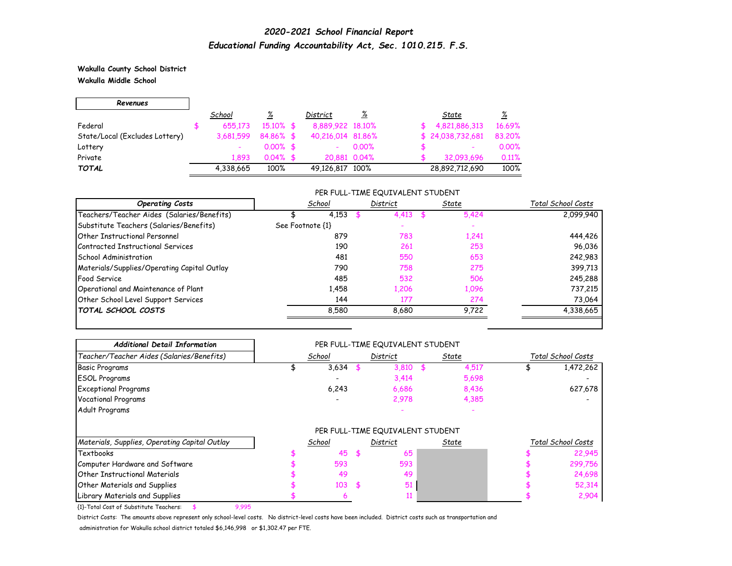**Wakulla County School District Wakulla Middle School**

| Revenues                       |           |              |                   |          |                          |          |
|--------------------------------|-----------|--------------|-------------------|----------|--------------------------|----------|
|                                | School    | <u>%</u>     | District          | <u>%</u> | State                    | <u>%</u> |
| Federal                        | 655.173   | $15.10\%$ \$ | 8,889,922 18,10%  |          | 4,821,886,313            | 16.69%   |
| State/Local (Excludes Lottery) | 3,681,599 | 84.86% \$    | 40,216,014 81,86% |          | \$24,038,732,681         | 83.20%   |
| Lottery                        |           | $0.00\%$ \$  |                   | $0.00\%$ | $\overline{\phantom{0}}$ | 0.00%    |
| Private                        | 1.893     | $0.04\%$ \$  | 20,881 0.04%      |          | 32,093,696               | 0.11%    |
| <b>TOTAL</b>                   | 4,338,665 | 100%         | 49,126,817 100%   |          | 28,892,712,690           | 100%     |

#### PER FULL-TIME EQUIVALENT STUDENT

| <b>Operating Costs</b>                      | School           | District | State | Total School Costs |
|---------------------------------------------|------------------|----------|-------|--------------------|
| Teachers/Teacher Aides (Salaries/Benefits)  | 4,153            | 4.413    | 5,424 | 2.099.940          |
| Substitute Teachers (Salaries/Benefits)     | See Footnote {1} |          |       |                    |
| <b>Other Instructional Personnel</b>        | 879              | 783      | 1,241 | 444,426            |
| Contracted Instructional Services           | 190              | 261      | 253   | 96,036             |
| School Administration                       | 481              | 550      | 653   | 242,983            |
| Materials/Supplies/Operating Capital Outlay | 790              | 758      | 275   | 399,713            |
| Food Service                                | 485              | 532      | 506   | 245,288            |
| Operational and Maintenance of Plant        | 1.458            | 1,206    | 1,096 | 737,215            |
| Other School Level Support Services         | 144              | 177      | 274   | 73,064             |
| <b>TOTAL SCHOOL COSTS</b>                   | 8.580            | 8.680    | 9.722 | 4,338,665          |

| <b>Additional Detail Information</b>            |                                  |     | PER FULL-TIME EQUIVALENT STUDENT |       |              |                    |                    |
|-------------------------------------------------|----------------------------------|-----|----------------------------------|-------|--------------|--------------------|--------------------|
| Teacher/Teacher Aides (Salaries/Benefits)       | School                           |     | District                         | State |              | Total School Costs |                    |
| <b>Basic Programs</b>                           | 3,634                            |     | 3,810                            |       | 4,517        |                    | 1,472,262          |
| <b>ESOL Programs</b>                            |                                  |     | 3,414                            |       | 5,698        |                    |                    |
| <b>Exceptional Programs</b>                     | 6,243                            |     | 6,686                            |       | 8,436        |                    | 627,678            |
| <b>Vocational Programs</b>                      |                                  |     | 2,978                            |       | 4,385        |                    |                    |
| Adult Programs                                  |                                  |     |                                  |       |              |                    |                    |
|                                                 | PER FULL-TIME EQUIVALENT STUDENT |     |                                  |       |              |                    |                    |
| Materials, Supplies, Operating Capital Outlay   | School                           |     | District                         |       | <u>State</u> |                    | Total School Costs |
| <b>Textbooks</b>                                | 45                               |     | 65                               |       |              |                    | 22,945             |
| Computer Hardware and Software                  | 593                              |     | 593                              |       |              |                    | 299,756            |
| <b>Other Instructional Materials</b>            | 49                               |     | 49                               |       |              |                    | 24,698             |
| Other Materials and Supplies                    | 103                              | -\$ | 51                               |       |              |                    | 52,314             |
| Library Materials and Supplies                  |                                  |     |                                  |       |              |                    | 2,904              |
| {1}-Total Cost of Substitute Teachers:<br>9,995 |                                  |     |                                  |       |              |                    |                    |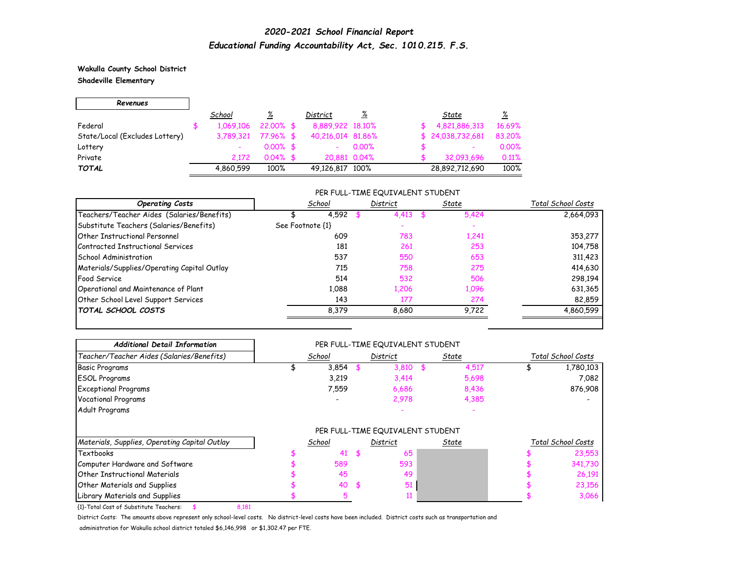**Wakulla County School District Shadeville Elementary**

Г

| Revenues                       |           |              |                   |          |                  |          |
|--------------------------------|-----------|--------------|-------------------|----------|------------------|----------|
|                                | School    | <u>%</u>     | District          | <u>%</u> | State            | <u>%</u> |
| Federal                        | 1,069,106 | $22.00\%$ \$ | 8,889,922 18,10%  |          | 4,821,886,313    | 16.69%   |
| State/Local (Excludes Lottery) | 3,789,321 | $77.96%$ \$  | 40,216,014 81,86% |          | \$24,038,732,681 | 83,20%   |
| Lottery                        |           | $0.00\%$ \$  |                   | $0.00\%$ | ۰                | 0.00%    |
| Private                        | 2.172     | $0.04\%$ \$  | 20,881 0.04%      |          | 32,093,696       | 0.11%    |
| <b>TOTAL</b>                   | 4,860,599 | 100%         | 49,126,817 100%   |          | 28,892,712,690   | 100%     |

#### PER FULL-TIME EQUIVALENT STUDENT

| <b>Operating Costs</b>                      | School           | District | State | Total School Costs |
|---------------------------------------------|------------------|----------|-------|--------------------|
| Teachers/Teacher Aides (Salaries/Benefits)  | 4,592            | 4.413    | 5,424 | 2,664,093          |
| Substitute Teachers (Salaries/Benefits)     | See Footnote {1} |          |       |                    |
| <b>Other Instructional Personnel</b>        | 609              | 783      | 1,241 | 353,277            |
| Contracted Instructional Services           | 181              | 261      | 253   | 104,758            |
| School Administration                       | 537              | 550      | 653   | 311,423            |
| Materials/Supplies/Operating Capital Outlay | 715              | 758      | 275   | 414,630            |
| Food Service                                | 514              | 532      | 506   | 298,194            |
| Operational and Maintenance of Plant        | 1.088            | 1,206    | 1,096 | 631,365            |
| Other School Level Support Services         | 143              | 177      | 274   | 82,859             |
| <b>TOTAL SCHOOL COSTS</b>                   | 8,379            | 8.680    | 9,722 | 4,860,599          |

| <b>Additional Detail Information</b>            |                                  | PER FULL-TIME EQUIVALENT STUDENT |       |              |                    |
|-------------------------------------------------|----------------------------------|----------------------------------|-------|--------------|--------------------|
| Teacher/Teacher Aides (Salaries/Benefits)       | School                           | District                         | State |              | Total School Costs |
| <b>Basic Programs</b>                           | 3,854                            | 3,810                            |       | 4,517        | 1,780,103          |
| <b>ESOL Programs</b>                            | 3,219                            | 3,414                            |       | 5,698        | 7,082              |
| <b>Exceptional Programs</b>                     | 7,559                            | 6,686                            |       | 8,436        | 876,908            |
| <b>Vocational Programs</b>                      |                                  | 2,978                            |       | 4,385        |                    |
| Adult Programs                                  |                                  |                                  |       |              |                    |
|                                                 | PER FULL-TIME EQUIVALENT STUDENT |                                  |       |              |                    |
| Materials, Supplies, Operating Capital Outlay   | School                           | District                         |       | <u>State</u> | Total School Costs |
| <b>Textbooks</b>                                | 41                               | 65                               |       |              | 23,553             |
| Computer Hardware and Software                  | 589                              | 593                              |       |              | 341,730            |
| <b>Other Instructional Materials</b>            | 45                               | 49                               |       |              | 26,191             |
| <b>Other Materials and Supplies</b>             | 40                               | \$<br>51                         |       |              | 23,156             |
| Library Materials and Supplies                  |                                  |                                  |       |              | 3,066              |
| {1}-Total Cost of Substitute Teachers:<br>8,181 |                                  |                                  |       |              |                    |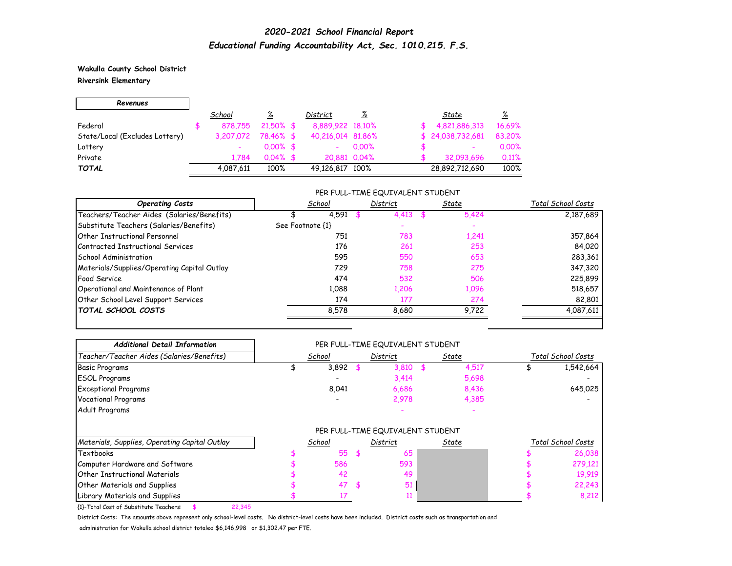**Wakulla County School District Riversink Elementary**

| Revenues                       |           |              |                   |          |                          |          |
|--------------------------------|-----------|--------------|-------------------|----------|--------------------------|----------|
|                                | School    | <u>%</u>     | District          | <u>%</u> | State                    | <u>%</u> |
| Federal                        | 878,755   | $21,50\%$ \$ | 8,889,922 18,10%  |          | 4,821,886,313            | 16.69%   |
| State/Local (Excludes Lottery) | 3,207,072 | 78.46% \$    | 40,216,014 81,86% |          | \$24,038,732,681         | 83,20%   |
| Lottery                        |           | $0.00\%$ \$  |                   | $0.00\%$ | $\overline{\phantom{a}}$ | 0.00%    |
| Private                        | 1.784     | $0.04\%$ \$  | 20,881 0.04%      |          | 32,093,696               | 0.11%    |
| <b>TOTAL</b>                   | 4,087,611 | 100%         | 49,126,817 100%   |          | 28,892,712,690           | 100%     |

#### PER FULL-TIME EQUIVALENT STUDENT

| <b>Operating Costs</b>                      | School           | District | State | Total School Costs |
|---------------------------------------------|------------------|----------|-------|--------------------|
| Teachers/Teacher Aides (Salaries/Benefits)  | 4,591            | 4.413    | 5,424 | 2,187,689          |
| Substitute Teachers (Salaries/Benefits)     | See Footnote {1} |          |       |                    |
| <b>Other Instructional Personnel</b>        | 751              | 783      | 1,241 | 357,864            |
| Contracted Instructional Services           | 176              | 261      | 253   | 84,020             |
| School Administration                       | 595              | 550      | 653   | 283,361            |
| Materials/Supplies/Operating Capital Outlay | 729              | 758      | 275   | 347,320            |
| Food Service                                | 474              | 532      | 506   | 225,899            |
| Operational and Maintenance of Plant        | 1.088            | 1,206    | 1,096 | 518,657            |
| Other School Level Support Services         | 174              | 177      | 274   | 82,801             |
| <b>TOTAL SCHOOL COSTS</b>                   | 8,578            | 8.680    | 9.722 | 4,087,611          |

| <b>Additional Detail Information</b>             |                                  | PER FULL-TIME EQUIVALENT STUDENT |       |              |                    |                    |
|--------------------------------------------------|----------------------------------|----------------------------------|-------|--------------|--------------------|--------------------|
| Teacher/Teacher Aides (Salaries/Benefits)        | School                           | District                         | State |              | Total School Costs |                    |
| <b>Basic Programs</b>                            | 3,892                            | 3,810                            |       | 4,517        |                    | 1,542,664          |
| <b>ESOL Programs</b>                             |                                  | 3,414                            |       | 5,698        |                    |                    |
| <b>Exceptional Programs</b>                      | 8,041                            | 6,686                            |       | 8,436        |                    | 645,025            |
| <b>Vocational Programs</b>                       |                                  | 2,978                            |       | 4,385        |                    |                    |
| Adult Programs                                   |                                  |                                  |       |              |                    |                    |
|                                                  | PER FULL-TIME EQUIVALENT STUDENT |                                  |       |              |                    |                    |
| Materials, Supplies, Operating Capital Outlay    | School                           | District                         |       | <u>State</u> |                    | Total School Costs |
| <b>Textbooks</b>                                 | 55                               | 65                               |       |              |                    | 26,038             |
| Computer Hardware and Software                   | 586                              | 593                              |       |              |                    | 279,121            |
| <b>Other Instructional Materials</b>             | 42                               | 49                               |       |              |                    | 19,919             |
| <b>Other Materials and Supplies</b>              | 47                               | 51                               |       |              |                    | 22,243             |
| Library Materials and Supplies                   |                                  |                                  |       |              |                    | 8,212              |
| {1}-Total Cost of Substitute Teachers:<br>22,345 |                                  |                                  |       |              |                    |                    |